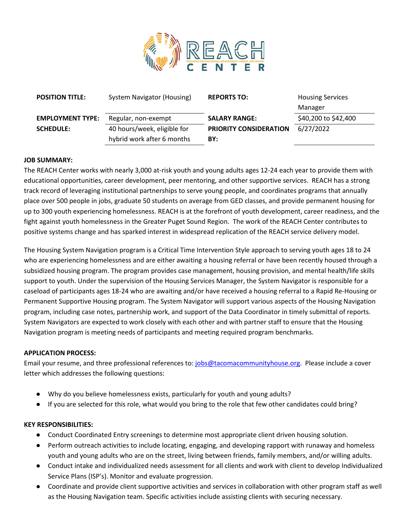

| <b>POSITION TITLE:</b>  | System Navigator (Housing)  | <b>REPORTS TO:</b>     | <b>Housing Services</b> |
|-------------------------|-----------------------------|------------------------|-------------------------|
|                         |                             |                        | Manager                 |
| <b>EMPLOYMENT TYPE:</b> | Regular, non-exempt         | <b>SALARY RANGE:</b>   | \$40,200 to \$42,400    |
| <b>SCHEDULE:</b>        | 40 hours/week, eligible for | PRIORITY CONSIDERATION | 6/27/2022               |
|                         | hybrid work after 6 months  | BY:                    |                         |

## **JOB SUMMARY:**

The REACH Center works with nearly 3,000 at-risk youth and young adults ages 12-24 each year to provide them with educational opportunities, career development, peer mentoring, and other supportive services. REACH has a strong track record of leveraging institutional partnerships to serve young people, and coordinates programs that annually place over 500 people in jobs, graduate 50 students on average from GED classes, and provide permanent housing for up to 300 youth experiencing homelessness. REACH is at the forefront of youth development, career readiness, and the fight against youth homelessness in the Greater Puget Sound Region. The work of the REACH Center contributes to positive systems change and has sparked interest in widespread replication of the REACH service delivery model.

The Housing System Navigation program is a Critical Time Intervention Style approach to serving youth ages 18 to 24 who are experiencing homelessness and are either awaiting a housing referral or have been recently housed through a subsidized housing program. The program provides case management, housing provision, and mental health/life skills support to youth. Under the supervision of the Housing Services Manager, the System Navigator is responsible for a caseload of participants ages 18-24 who are awaiting and/or have received a housing referral to a Rapid Re-Housing or Permanent Supportive Housing program. The System Navigator will support various aspects of the Housing Navigation program, including case notes, partnership work, and support of the Data Coordinator in timely submittal of reports. System Navigators are expected to work closely with each other and with partner staff to ensure that the Housing Navigation program is meeting needs of participants and meeting required program benchmarks.

## **APPLICATION PROCESS:**

Email your resume, and three professional references to: [jobs@tacomacommunityhouse.org.](mailto:jobs@tacomacommunityhouse.org) Please include a cover letter which addresses the following questions:

- Why do you believe homelessness exists, particularly for youth and young adults?
- If you are selected for this role, what would you bring to the role that few other candidates could bring?

## **KEY RESPONSIBILITIES:**

- Conduct Coordinated Entry screenings to determine most appropriate client driven housing solution.
- Perform outreach activities to include locating, engaging, and developing rapport with runaway and homeless youth and young adults who are on the street, living between friends, family members, and/or willing adults.
- Conduct intake and individualized needs assessment for all clients and work with client to develop Individualized Service Plans (ISP's). Monitor and evaluate progression.
- Coordinate and provide client supportive activities and services in collaboration with other program staff as well as the Housing Navigation team. Specific activities include assisting clients with securing necessary.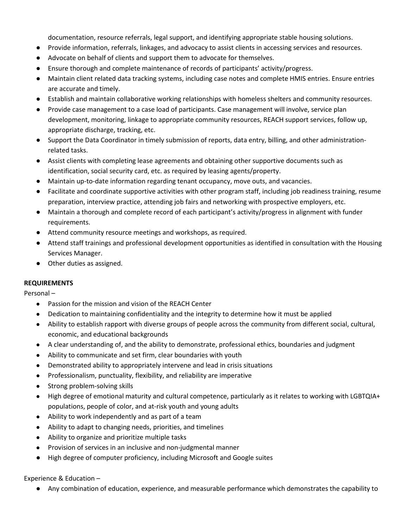documentation, resource referrals, legal support, and identifying appropriate stable housing solutions.

- Provide information, referrals, linkages, and advocacy to assist clients in accessing services and resources.
- Advocate on behalf of clients and support them to advocate for themselves.
- Ensure thorough and complete maintenance of records of participants' activity/progress.
- Maintain client related data tracking systems, including case notes and complete HMIS entries. Ensure entries are accurate and timely.
- Establish and maintain collaborative working relationships with homeless shelters and community resources.
- Provide case management to a case load of participants. Case management will involve, service plan development, monitoring, linkage to appropriate community resources, REACH support services, follow up, appropriate discharge, tracking, etc.
- Support the Data Coordinator in timely submission of reports, data entry, billing, and other administrationrelated tasks.
- Assist clients with completing lease agreements and obtaining other supportive documents such as identification, social security card, etc. as required by leasing agents/property.
- Maintain up-to-date information regarding tenant occupancy, move outs, and vacancies.
- Facilitate and coordinate supportive activities with other program staff, including job readiness training, resume preparation, interview practice, attending job fairs and networking with prospective employers, etc.
- Maintain a thorough and complete record of each participant's activity/progress in alignment with funder requirements.
- Attend community resource meetings and workshops, as required.
- Attend staff trainings and professional development opportunities as identified in consultation with the Housing Services Manager.
- Other duties as assigned.

## **REQUIREMENTS**

Personal –

- Passion for the mission and vision of the REACH Center
- Dedication to maintaining confidentiality and the integrity to determine how it must be applied
- Ability to establish rapport with diverse groups of people across the community from different social, cultural, economic, and educational backgrounds
- A clear understanding of, and the ability to demonstrate, professional ethics, boundaries and judgment
- Ability to communicate and set firm, clear boundaries with youth
- Demonstrated ability to appropriately intervene and lead in crisis situations
- Professionalism, punctuality, flexibility, and reliability are imperative
- Strong problem-solving skills
- High degree of emotional maturity and cultural competence, particularly as it relates to working with LGBTQIA+ populations, people of color, and at-risk youth and young adults
- Ability to work independently and as part of a team
- Ability to adapt to changing needs, priorities, and timelines
- Ability to organize and prioritize multiple tasks
- Provision of services in an inclusive and non-judgmental manner
- High degree of computer proficiency, including Microsoft and Google suites

## Experience & Education –

● Any combination of education, experience, and measurable performance which demonstrates the capability to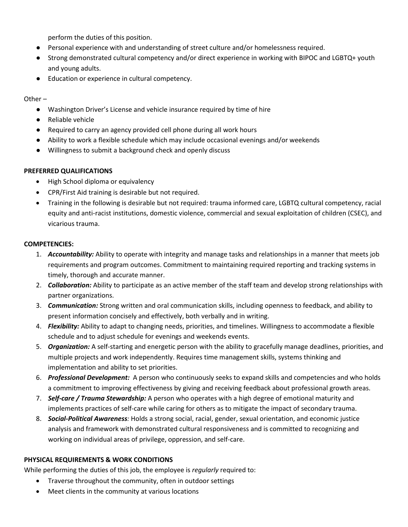perform the duties of this position.

- Personal experience with and understanding of street culture and/or homelessness required.
- Strong demonstrated cultural competency and/or direct experience in working with BIPOC and LGBTQ+ youth and young adults.
- Education or experience in cultural competency.

Other –

- Washington Driver's License and vehicle insurance required by time of hire
- Reliable vehicle
- Required to carry an agency provided cell phone during all work hours
- Ability to work a flexible schedule which may include occasional evenings and/or weekends
- Willingness to submit a background check and openly discuss

## **PREFERRED QUALIFICATIONS**

- High School diploma or equivalency
- CPR/First Aid training is desirable but not required.
- Training in the following is desirable but not required: trauma informed care, LGBTQ cultural competency, racial equity and anti-racist institutions, domestic violence, commercial and sexual exploitation of children (CSEC), and vicarious trauma.

## **COMPETENCIES:**

- 1. *Accountability:* Ability to operate with integrity and manage tasks and relationships in a manner that meets job requirements and program outcomes. Commitment to maintaining required reporting and tracking systems in timely, thorough and accurate manner.
- 2. *Collaboration:* Ability to participate as an active member of the staff team and develop strong relationships with partner organizations.
- 3. *Communication:* Strong written and oral communication skills, including openness to feedback, and ability to present information concisely and effectively, both verbally and in writing.
- 4. *Flexibility:* Ability to adapt to changing needs, priorities, and timelines. Willingness to accommodate a flexible schedule and to adjust schedule for evenings and weekends events.
- 5. *Organization:* A self-starting and energetic person with the ability to gracefully manage deadlines, priorities, and multiple projects and work independently. Requires time management skills, systems thinking and implementation and ability to set priorities.
- 6. *Professional Development:* A person who continuously seeks to expand skills and competencies and who holds a commitment to improving effectiveness by giving and receiving feedback about professional growth areas.
- 7. *Self-care / Trauma Stewardship:* A person who operates with a high degree of emotional maturity and implements practices of self-care while caring for others as to mitigate the impact of secondary trauma.
- 8. *Social-Political Awareness:* Holds a strong social, racial, gender, sexual orientation, and economic justice analysis and framework with demonstrated cultural responsiveness and is committed to recognizing and working on individual areas of privilege, oppression, and self-care.

# **PHYSICAL REQUIREMENTS & WORK CONDITIONS**

While performing the duties of this job, the employee is *regularly* required to:

- Traverse throughout the community, often in outdoor settings
- Meet clients in the community at various locations